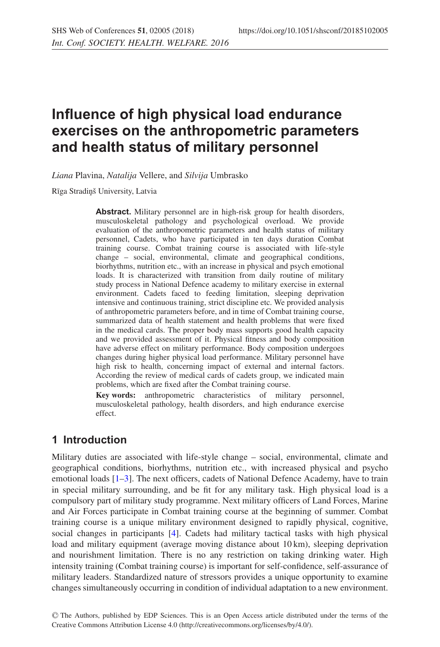# **Influence of high physical load endurance exercises on the anthropometric parameters and health status of military personnel**

*Liana* Plavina, *Natalija* Vellere, and *Silvija* Umbrasko

Rīga Stradiņš University, Latvia

**Abstract.** Military personnel are in high-risk group for health disorders, musculoskeletal pathology and psychological overload. We provide evaluation of the anthropometric parameters and health status of military personnel, Cadets, who have participated in ten days duration Combat training course. Combat training course is associated with life-style change – social, environmental, climate and geographical conditions, biorhythms, nutrition etc., with an increase in physical and psych emotional loads. It is characterized with transition from daily routine of military study process in National Defence academy to military exercise in external environment. Cadets faced to feeding limitation, sleeping deprivation intensive and continuous training, strict discipline etc. We provided analysis of anthropometric parameters before, and in time of Combat training course, summarized data of health statement and health problems that were fixed in the medical cards. The proper body mass supports good health capacity and we provided assessment of it. Physical fitness and body composition have adverse effect on military performance. Body composition undergoes changes during higher physical load performance. Military personnel have high risk to health, concerning impact of external and internal factors. According the review of medical cards of cadets group, we indicated main problems, which are fixed after the Combat training course.

**Key words:** anthropometric characteristics of military personnel, musculoskeletal pathology, health disorders, and high endurance exercise effect.

#### **1 Introduction**

Military duties are associated with life-style change – social, environmental, climate and geographical conditions, biorhythms, nutrition etc., with increased physical and psycho emotional loads [\[1](#page-5-0)[–3](#page-5-1)]. The next officers, cadets of National Defence Academy, have to train in special military surrounding, and be fit for any military task. High physical load is a compulsory part of military study programme. Next military officers of Land Forces, Marine and Air Forces participate in Combat training course at the beginning of summer. Combat training course is a unique military environment designed to rapidly physical, cognitive, social changes in participants [\[4\]](#page-6-0). Cadets had military tactical tasks with high physical load and military equipment (average moving distance about 10 km), sleeping deprivation and nourishment limitation. There is no any restriction on taking drinking water. High intensity training (Combat training course) is important for self-confidence, self-assurance of military leaders. Standardized nature of stressors provides a unique opportunity to examine changes simultaneously occurring in condition of individual adaptation to a new environment.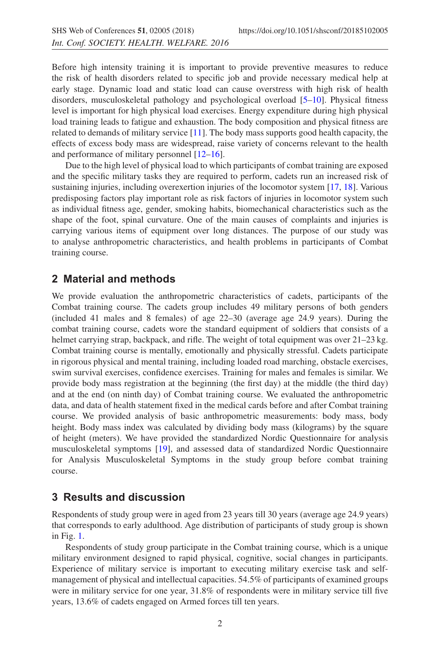Before high intensity training it is important to provide preventive measures to reduce the risk of health disorders related to specific job and provide necessary medical help at early stage. Dynamic load and static load can cause overstress with high risk of health disorders, musculoskeletal pathology and psychological overload [\[5](#page-6-1)[–10](#page-6-2)]. Physical fitness level is important for high physical load exercises. Energy expenditure during high physical load training leads to fatigue and exhaustion. The body composition and physical fitness are related to demands of military service  $[11]$  $[11]$ . The body mass supports good health capacity, the effects of excess body mass are widespread, raise variety of concerns relevant to the health and performance of military personnel [\[12](#page-6-4)[–16\]](#page-6-5).

Due to the high level of physical load to which participants of combat training are exposed and the specific military tasks they are required to perform, cadets run an increased risk of sustaining injuries, including overexertion injuries of the locomotor system [\[17,](#page-6-6) [18\]](#page-6-7). Various predisposing factors play important role as risk factors of injuries in locomotor system such as individual fitness age, gender, smoking habits, biomechanical characteristics such as the shape of the foot, spinal curvature. One of the main causes of complaints and injuries is carrying various items of equipment over long distances. The purpose of our study was to analyse anthropometric characteristics, and health problems in participants of Combat training course.

#### **2 Material and methods**

We provide evaluation the anthropometric characteristics of cadets, participants of the Combat training course. The cadets group includes 49 military persons of both genders (included 41 males and 8 females) of age 22–30 (average age 24.9 years). During the combat training course, cadets wore the standard equipment of soldiers that consists of a helmet carrying strap, backpack, and rifle. The weight of total equipment was over 21–23 kg. Combat training course is mentally, emotionally and physically stressful. Cadets participate in rigorous physical and mental training, including loaded road marching, obstacle exercises, swim survival exercises, confidence exercises. Training for males and females is similar. We provide body mass registration at the beginning (the first day) at the middle (the third day) and at the end (on ninth day) of Combat training course. We evaluated the anthropometric data, and data of health statement fixed in the medical cards before and after Combat training course. We provided analysis of basic anthropometric measurements: body mass, body height. Body mass index was calculated by dividing body mass (kilograms) by the square of height (meters). We have provided the standardized Nordic Questionnaire for analysis musculoskeletal symptoms [\[19](#page-6-8)], and assessed data of standardized Nordic Questionnaire for Analysis Musculoskeletal Symptoms in the study group before combat training course.

## **3 Results and discussion**

Respondents of study group were in aged from 23 years till 30 years (average age 24.9 years) that corresponds to early adulthood. Age distribution of participants of study group is shown in Fig. [1.](#page-2-0)

Respondents of study group participate in the Combat training course, which is a unique military environment designed to rapid physical, cognitive, social changes in participants. Experience of military service is important to executing military exercise task and selfmanagement of physical and intellectual capacities. 54.5% of participants of examined groups were in military service for one year, 31.8% of respondents were in military service till five years, 13.6% of cadets engaged on Armed forces till ten years.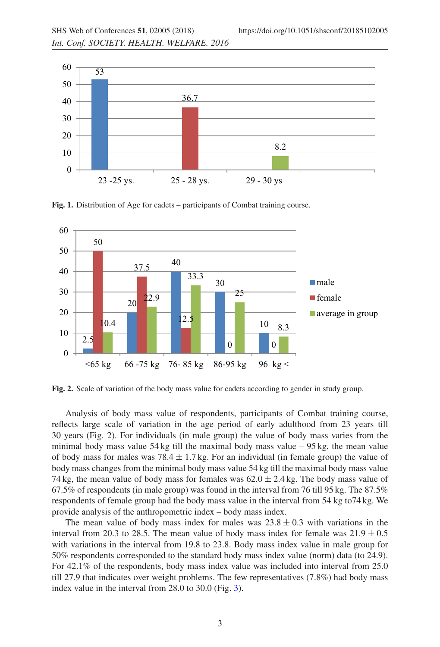<span id="page-2-0"></span>

**Fig. 1.** Distribution of Age for cadets – participants of Combat training course.



**Fig. 2.** Scale of variation of the body mass value for cadets according to gender in study group.

Analysis of body mass value of respondents, participants of Combat training course, reflects large scale of variation in the age period of early adulthood from 23 years till 30 years (Fig. 2). For individuals (in male group) the value of body mass varies from the minimal body mass value 54 kg till the maximal body mass value – 95 kg, the mean value of body mass for males was  $78.4 \pm 1.7$  kg. For an individual (in female group) the value of body mass changes from the minimal body mass value 54 kg till the maximal body mass value 74 kg, the mean value of body mass for females was  $62.0 \pm 2.4$  kg. The body mass value of 67.5% of respondents (in male group) was found in the interval from 76 till 95 kg. The 87.5% respondents of female group had the body mass value in the interval from 54 kg to74 kg. We provide analysis of the anthropometric index – body mass index.

The mean value of body mass index for males was  $23.8 \pm 0.3$  with variations in the interval from 20.3 to 28.5. The mean value of body mass index for female was  $21.9 \pm 0.5$ with variations in the interval from 19.8 to 23.8. Body mass index value in male group for 50% respondents corresponded to the standard body mass index value (norm) data (to 24.9). For 42.1% of the respondents, body mass index value was included into interval from 25.0 till 27.9 that indicates over weight problems. The few representatives (7.8%) had body mass index value in the interval from 28.0 to 30.0 (Fig. [3\)](#page-3-0).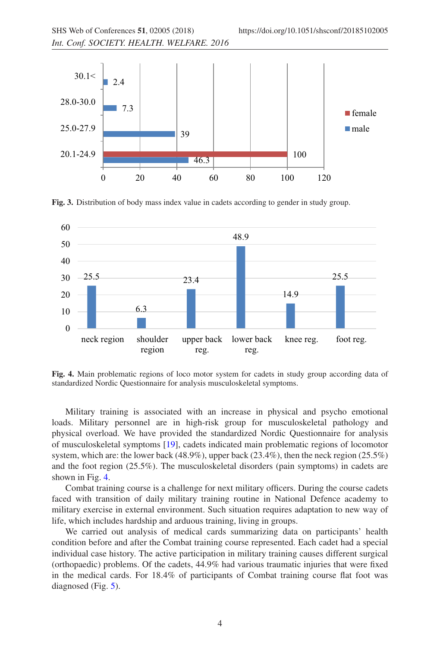<span id="page-3-0"></span>

**Fig. 3.** Distribution of body mass index value in cadets according to gender in study group.

<span id="page-3-1"></span>

**Fig. 4.** Main problematic regions of loco motor system for cadets in study group according data of standardized Nordic Questionnaire for analysis musculoskeletal symptoms.

Military training is associated with an increase in physical and psycho emotional loads. Military personnel are in high-risk group for musculoskeletal pathology and physical overload. We have provided the standardized Nordic Questionnaire for analysis of musculoskeletal symptoms [\[19](#page-6-8)], cadets indicated main problematic regions of locomotor system, which are: the lower back (48.9%), upper back (23.4%), then the neck region (25.5%) and the foot region (25.5%). The musculoskeletal disorders (pain symptoms) in cadets are shown in Fig. [4.](#page-3-1)

Combat training course is a challenge for next military officers. During the course cadets faced with transition of daily military training routine in National Defence academy to military exercise in external environment. Such situation requires adaptation to new way of life, which includes hardship and arduous training, living in groups.

We carried out analysis of medical cards summarizing data on participants' health condition before and after the Combat training course represented. Each cadet had a special individual case history. The active participation in military training causes different surgical (orthopaedic) problems. Of the cadets, 44.9% had various traumatic injuries that were fixed in the medical cards. For 18.4% of participants of Combat training course flat foot was diagnosed (Fig. [5\)](#page-4-0).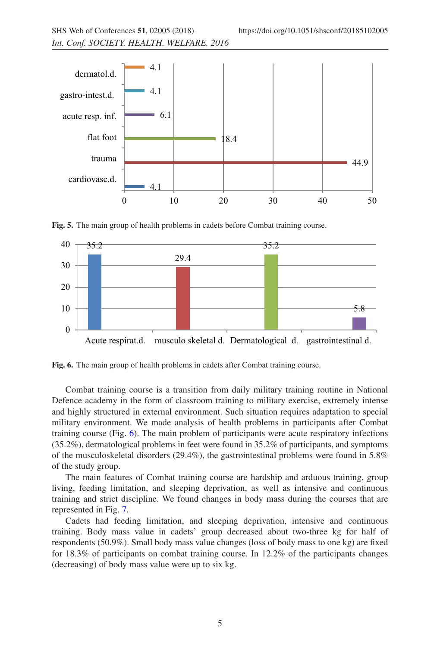<span id="page-4-0"></span>

**Fig. 5.** The main group of health problems in cadets before Combat training course.

<span id="page-4-1"></span>

**Fig. 6.** The main group of health problems in cadets after Combat training course.

Combat training course is a transition from daily military training routine in National Defence academy in the form of classroom training to military exercise, extremely intense and highly structured in external environment. Such situation requires adaptation to special military environment. We made analysis of health problems in participants after Combat training course (Fig. [6\)](#page-4-1). The main problem of participants were acute respiratory infections (35.2%), dermatological problems in feet were found in 35.2% of participants, and symptoms of the musculoskeletal disorders (29.4%), the gastrointestinal problems were found in 5.8% of the study group.

The main features of Combat training course are hardship and arduous training, group living, feeding limitation, and sleeping deprivation, as well as intensive and continuous training and strict discipline. We found changes in body mass during the courses that are represented in Fig. [7.](#page-5-2)

Cadets had feeding limitation, and sleeping deprivation, intensive and continuous training. Body mass value in cadets' group decreased about two-three kg for half of respondents (50.9%). Small body mass value changes (loss of body mass to one kg) are fixed for 18.3% of participants on combat training course. In 12.2% of the participants changes (decreasing) of body mass value were up to six kg.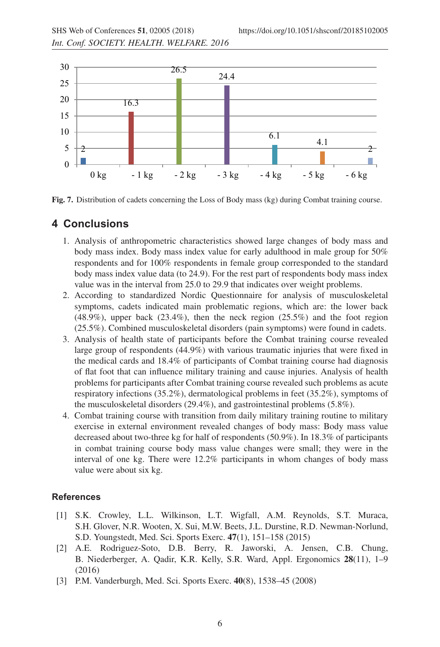<span id="page-5-2"></span>

**Fig. 7.** Distribution of cadets concerning the Loss of Body mass (kg) during Combat training course.

# **4 Conclusions**

- 1. Analysis of anthropometric characteristics showed large changes of body mass and body mass index. Body mass index value for early adulthood in male group for 50% respondents and for 100% respondents in female group corresponded to the standard body mass index value data (to 24.9). For the rest part of respondents body mass index value was in the interval from 25.0 to 29.9 that indicates over weight problems.
- 2. According to standardized Nordic Questionnaire for analysis of musculoskeletal symptoms, cadets indicated main problematic regions, which are: the lower back  $(48.9\%)$ , upper back  $(23.4\%)$ , then the neck region  $(25.5\%)$  and the foot region (25.5%). Combined musculoskeletal disorders (pain symptoms) were found in cadets.
- 3. Analysis of health state of participants before the Combat training course revealed large group of respondents (44.9%) with various traumatic injuries that were fixed in the medical cards and 18.4% of participants of Combat training course had diagnosis of flat foot that can influence military training and cause injuries. Analysis of health problems for participants after Combat training course revealed such problems as acute respiratory infections (35.2%), dermatological problems in feet (35.2%), symptoms of the musculoskeletal disorders (29.4%), and gastrointestinal problems (5.8%).
- 4. Combat training course with transition from daily military training routine to military exercise in external environment revealed changes of body mass: Body mass value decreased about two-three kg for half of respondents (50.9%). In 18.3% of participants in combat training course body mass value changes were small; they were in the interval of one kg. There were 12.2% participants in whom changes of body mass value were about six kg.

### <span id="page-5-0"></span>**References**

- [1] S.K. Crowley, L.L. Wilkinson, L.T. Wigfall, A.M. Reynolds, S.T. Muraca, S.H. Glover, N.R. Wooten, X. Sui, M.W. Beets, J.L. Durstine, R.D. Newman-Norlund, S.D. Youngstedt, Med. Sci. Sports Exerc. **47**(1), 151–158 (2015)
- [2] A.E. Rodriguez-Soto, D.B. Berry, R. Jaworski, A. Jensen, C.B. Chung, B. Niederberger, A. Qadir, K.R. Kelly, S.R. Ward, Appl. Ergonomics **28**(11), 1–9 (2016)
- <span id="page-5-1"></span>[3] P.M. Vanderburgh, Med. Sci. Sports Exerc. **40**(8), 1538–45 (2008)